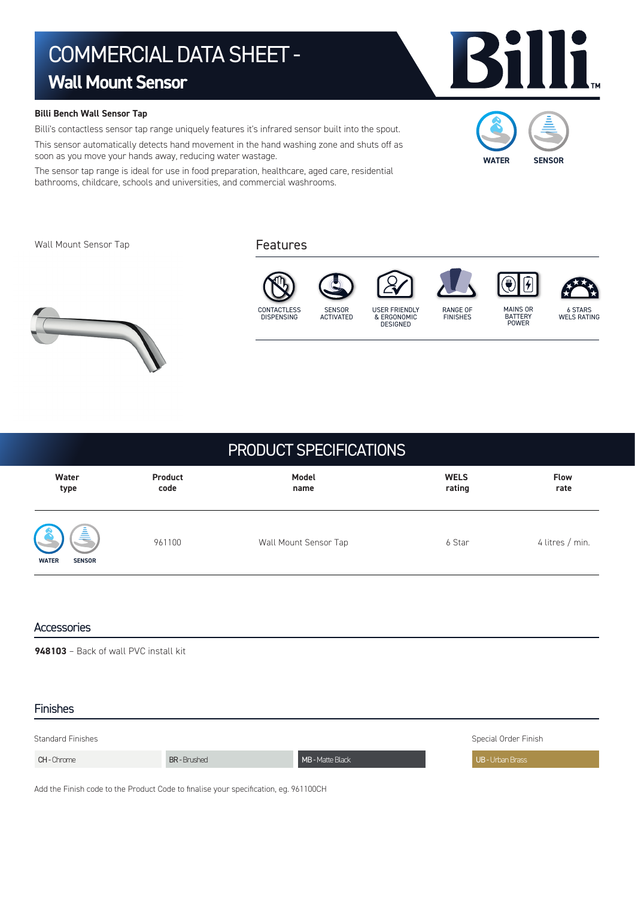# COMMERCIAL DATA SHEET - **Wall Mount Sensor**

### **Billi Bench Wall Sensor Tap**

Billi's contactless sensor tap range uniquely features it's infrared sensor built into the spout. This sensor automatically detects hand movement in the hand washing zone and shuts off as soon as you move your hands away, reducing water wastage.

The sensor tap range is ideal for use in food preparation, healthcare, aged care, residential bathrooms, childcare, schools and universities, and commercial washrooms.

Wall Mount Sensor Tap

### Features



## PRODUCT SPECIFICATIONS

| Water                                          | Product | Model                 | <b>WELS</b> | <b>Flow</b>     |
|------------------------------------------------|---------|-----------------------|-------------|-----------------|
| type                                           | code    | name                  | rating      | rate            |
| 亯<br><b>6</b><br><b>SENSOR</b><br><b>WATER</b> | 961100  | Wall Mount Sensor Tap | 6 Star      | 4 litres / min. |

### **Accessories**

**948103** – Back of wall PVC install kit

### Finishes

| <b>Standard Finishes</b> | Special Order Finish |                  |                       |
|--------------------------|----------------------|------------------|-----------------------|
| <b>CH-Chrome</b>         | <b>BR-Brushed</b>    | MB - Matte Black | <b>UB-Urban Brass</b> |

Add the Finish code to the Product Code to finalise your specification, eg. 961100CH